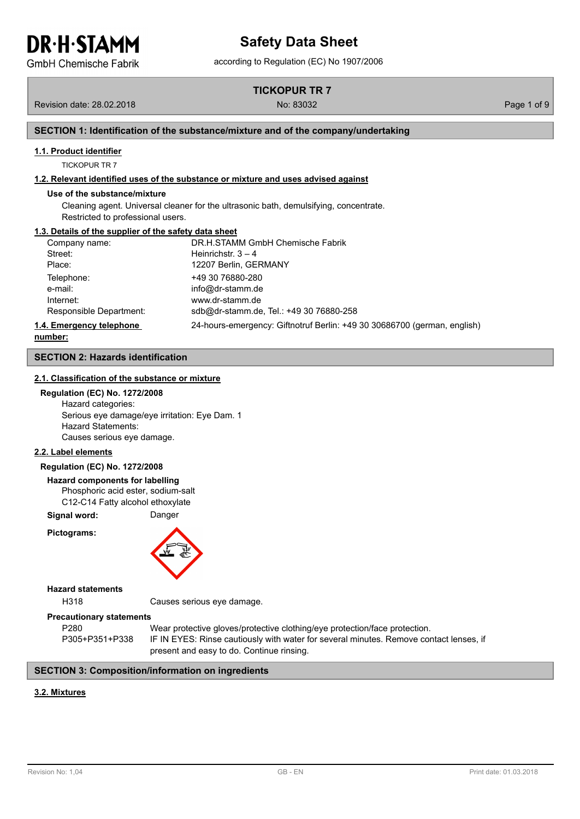**GmbH Chemische Fabrik** 

**TICKOPUR TR 7**

Revision date: 28.02.2018 No: 83032 Page 1 of 9

#### **SECTION 1: Identification of the substance/mixture and of the company/undertaking**

#### **1.1. Product identifier**

TICKOPUR TR 7

#### **1.2. Relevant identified uses of the substance or mixture and uses advised against**

#### **Use of the substance/mixture**

Cleaning agent. Universal cleaner for the ultrasonic bath, demulsifying, concentrate. Restricted to professional users.

#### **1.3. Details of the supplier of the safety data sheet**

| Company name:            | DR.H.STAMM GmbH Chemische Fabrik                                         |
|--------------------------|--------------------------------------------------------------------------|
| Street:                  | Heinrichstr. $3 - 4$                                                     |
| Place:                   | 12207 Berlin, GERMANY                                                    |
| Telephone:               | +49 30 76880-280                                                         |
| e-mail:                  | info@dr-stamm.de                                                         |
| Internet:                | www.dr-stamm.de                                                          |
| Responsible Department:  | sdb@dr-stamm.de, Tel.: +49 30 76880-258                                  |
| 1.4. Emergency telephone | 24-hours-emergency: Giftnotruf Berlin: +49 30 30686700 (german, english) |

**number:**

#### **SECTION 2: Hazards identification**

#### **2.1. Classification of the substance or mixture**

#### **Regulation (EC) No. 1272/2008**

Hazard categories: Serious eye damage/eye irritation: Eye Dam. 1 Hazard Statements: Causes serious eye damage.

#### **2.2. Label elements**

#### **Regulation (EC) No. 1272/2008**

**Hazard components for labelling** Phosphoric acid ester, sodium-salt C12-C14 Fatty alcohol ethoxylate

**Signal word:** Danger

**Pictograms:**



#### **Hazard statements**

H318 Causes serious eye damage.

#### **Precautionary statements**

P280 Wear protective gloves/protective clothing/eye protection/face protection. P305+P351+P338 IF IN EYES: Rinse cautiously with water for several minutes. Remove contact lenses, if present and easy to do. Continue rinsing.

#### **SECTION 3: Composition/information on ingredients**

#### **3.2. Mixtures**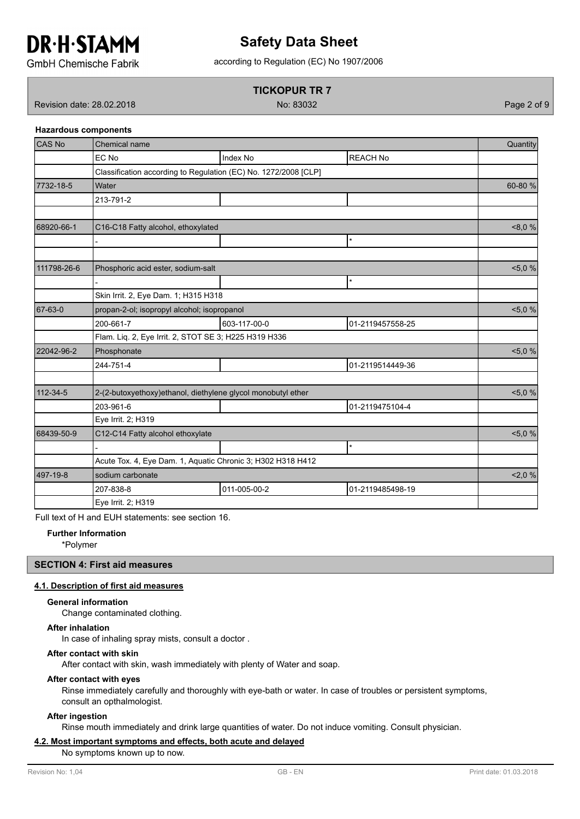

### according to Regulation (EC) No 1907/2006 **Safety Data Sheet**

**GmbH Chemische Fabrik** 

#### **TICKOPUR TR 7**

Revision date: 28.02.2018 No: 83032 Page 2 of 9

**Hazardous components**

| CAS No      | Chemical name                                               |                                                                 |                  | Quantity  |  |  |  |  |
|-------------|-------------------------------------------------------------|-----------------------------------------------------------------|------------------|-----------|--|--|--|--|
|             | EC No                                                       | Index No                                                        | <b>REACH No</b>  |           |  |  |  |  |
|             |                                                             | Classification according to Regulation (EC) No. 1272/2008 [CLP] |                  |           |  |  |  |  |
| 7732-18-5   | Water                                                       |                                                                 |                  | 60-80 %   |  |  |  |  |
|             | 213-791-2                                                   |                                                                 |                  |           |  |  |  |  |
|             |                                                             |                                                                 |                  |           |  |  |  |  |
| 68920-66-1  | C16-C18 Fatty alcohol, ethoxylated                          |                                                                 |                  | 8,0%      |  |  |  |  |
|             |                                                             |                                                                 | $\star$          |           |  |  |  |  |
|             |                                                             |                                                                 |                  |           |  |  |  |  |
| 111798-26-6 | Phosphoric acid ester, sodium-salt                          |                                                                 |                  | <5,0%     |  |  |  |  |
|             |                                                             |                                                                 | $\star$          |           |  |  |  |  |
|             | Skin Irrit. 2, Eye Dam. 1; H315 H318                        |                                                                 |                  |           |  |  |  |  |
| 67-63-0     | propan-2-ol; isopropyl alcohol; isopropanol                 | 5,0%                                                            |                  |           |  |  |  |  |
|             | 200-661-7                                                   | 603-117-00-0                                                    | 01-2119457558-25 |           |  |  |  |  |
|             | Flam. Liq. 2, Eye Irrit. 2, STOT SE 3; H225 H319 H336       |                                                                 |                  |           |  |  |  |  |
| 22042-96-2  | Phosphonate                                                 |                                                                 |                  | 5,0%      |  |  |  |  |
|             | 244-751-4                                                   |                                                                 | 01-2119514449-36 |           |  |  |  |  |
|             |                                                             |                                                                 |                  |           |  |  |  |  |
| 112-34-5    |                                                             | 2-(2-butoxyethoxy)ethanol, diethylene glycol monobutyl ether    |                  | <5,0%     |  |  |  |  |
|             | 203-961-6                                                   |                                                                 | 01-2119475104-4  |           |  |  |  |  |
|             | Eye Irrit. 2; H319                                          |                                                                 |                  |           |  |  |  |  |
| 68439-50-9  | C12-C14 Fatty alcohol ethoxylate                            |                                                                 |                  | $< 5,0\%$ |  |  |  |  |
|             |                                                             |                                                                 | $\star$          |           |  |  |  |  |
|             | Acute Tox. 4, Eye Dam. 1, Aquatic Chronic 3; H302 H318 H412 |                                                                 |                  |           |  |  |  |  |
| 497-19-8    | sodium carbonate                                            |                                                                 |                  | 2,0%      |  |  |  |  |
|             | 207-838-8                                                   | 011-005-00-2                                                    | 01-2119485498-19 |           |  |  |  |  |
|             | Eye Irrit. 2; H319                                          |                                                                 |                  |           |  |  |  |  |

Full text of H and EUH statements: see section 16.

#### **Further Information**

\*Polymer

#### **SECTION 4: First aid measures**

#### **4.1. Description of first aid measures**

#### **General information**

Change contaminated clothing.

#### **After inhalation**

In case of inhaling spray mists, consult a doctor .

#### **After contact with skin**

After contact with skin, wash immediately with plenty of Water and soap.

#### **After contact with eyes**

Rinse immediately carefully and thoroughly with eye-bath or water. In case of troubles or persistent symptoms, consult an opthalmologist.

#### **After ingestion**

Rinse mouth immediately and drink large quantities of water. Do not induce vomiting. Consult physician.

#### **4.2. Most important symptoms and effects, both acute and delayed**

No symptoms known up to now.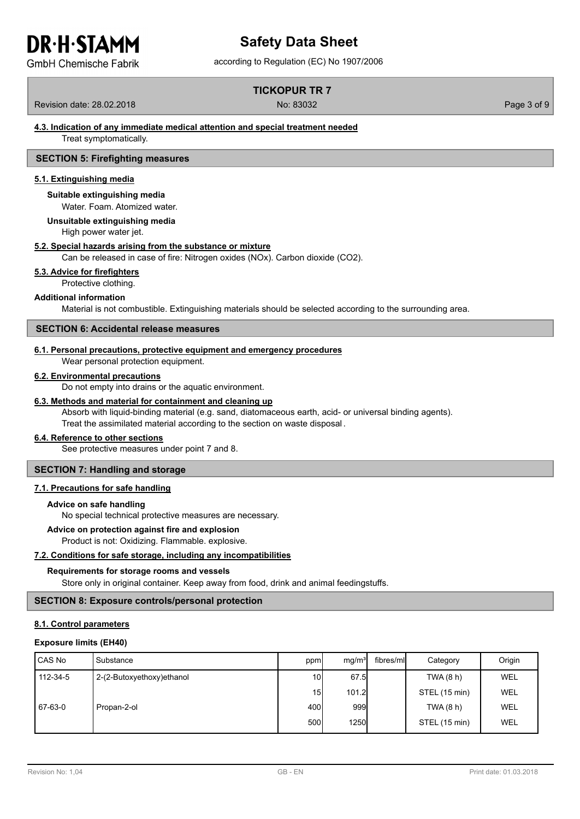**GmbH Chemische Fabrik** 

## **Safety Data Sheet**

according to Regulation (EC) No 1907/2006

#### **TICKOPUR TR 7**

Revision date: 28.02.2018 No: 83032 Page 3 of 9

#### **4.3. Indication of any immediate medical attention and special treatment needed**

Treat symptomatically.

#### **SECTION 5: Firefighting measures**

#### **5.1. Extinguishing media**

#### **Suitable extinguishing media**

Water. Foam. Atomized water.

#### **Unsuitable extinguishing media**

High power water jet.

#### **5.2. Special hazards arising from the substance or mixture**

Can be released in case of fire: Nitrogen oxides (NOx). Carbon dioxide (CO2).

#### **5.3. Advice for firefighters**

Protective clothing.

#### **Additional information**

Material is not combustible. Extinguishing materials should be selected according to the surrounding area.

#### **SECTION 6: Accidental release measures**

#### **6.1. Personal precautions, protective equipment and emergency procedures**

Wear personal protection equipment.

#### **6.2. Environmental precautions**

Do not empty into drains or the aquatic environment.

#### **6.3. Methods and material for containment and cleaning up**

Absorb with liquid-binding material (e.g. sand, diatomaceous earth, acid- or universal binding agents). Treat the assimilated material according to the section on waste disposal .

#### **6.4. Reference to other sections**

See protective measures under point 7 and 8.

#### **SECTION 7: Handling and storage**

#### **7.1. Precautions for safe handling**

#### **Advice on safe handling**

No special technical protective measures are necessary.

#### **Advice on protection against fire and explosion**

Product is not: Oxidizing. Flammable. explosive.

#### **7.2. Conditions for safe storage, including any incompatibilities**

#### **Requirements for storage rooms and vessels**

Store only in original container. Keep away from food, drink and animal feedingstuffs.

#### **SECTION 8: Exposure controls/personal protection**

#### **8.1. Control parameters**

#### **Exposure limits (EH40)**

| CAS No   | Substance                 | ppm             | mg/m <sup>3</sup> | fibres/mll | Category      | Origin     |
|----------|---------------------------|-----------------|-------------------|------------|---------------|------------|
| 112-34-5 | 2-(2-Butoxyethoxy)ethanol | 10I             | 67.5              |            | TWA (8 h)     | <b>WEL</b> |
|          |                           | 15 <sup>1</sup> | 101.2             |            | STEL (15 min) | <b>WEL</b> |
| 67-63-0  | Propan-2-ol               | 400l            | 999               |            | TWA (8 h)     | WEL        |
|          |                           | 500l            | <b>1250</b>       |            | STEL (15 min) | WEL        |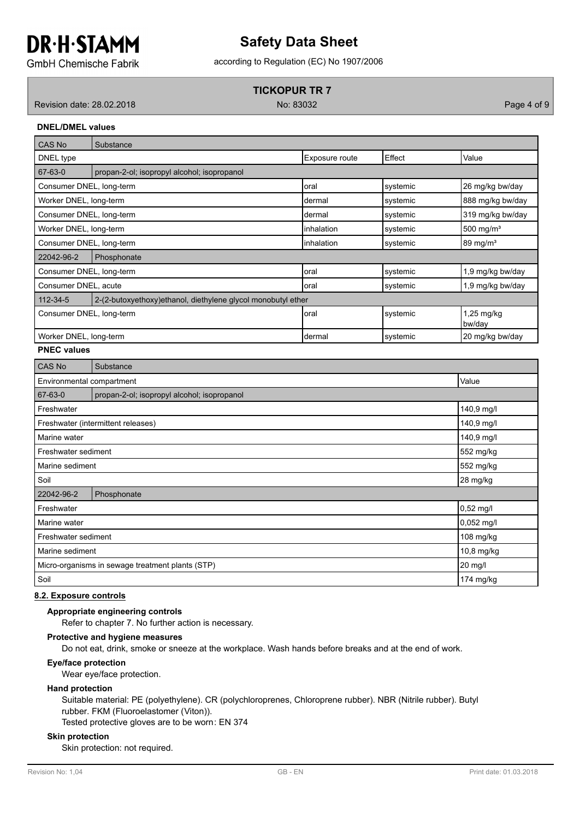### according to Regulation (EC) No 1907/2006 **Safety Data Sheet**

**GmbH Chemische Fabrik** 

#### **TICKOPUR TR 7**

Revision date: 28.02.2018 No: 83032 Page 4 of 9

**DNEL/DMEL values**

| <b>CAS No</b>                                                                   | Substance                                   |                |          |                        |
|---------------------------------------------------------------------------------|---------------------------------------------|----------------|----------|------------------------|
| DNEL type                                                                       |                                             | Exposure route | Effect   | Value                  |
| 67-63-0                                                                         | propan-2-ol; isopropyl alcohol; isopropanol |                |          |                        |
| Consumer DNEL, long-term                                                        |                                             | loral          | systemic | 26 mg/kg bw/day        |
| Worker DNEL, long-term                                                          |                                             | Idermal        | systemic | 888 mg/kg bw/day       |
| Consumer DNEL, long-term                                                        |                                             | Idermal        | systemic | 319 mg/kg bw/day       |
| Worker DNEL, long-term                                                          |                                             | linhalation    | systemic | 500 mg/m <sup>3</sup>  |
| Consumer DNEL, long-term                                                        |                                             | linhalation    | systemic | $89 \text{ mg/m}^3$    |
| 22042-96-2                                                                      | Phosphonate                                 |                |          |                        |
| Consumer DNEL, long-term                                                        |                                             | loral          | systemic | 1,9 mg/kg bw/day       |
| Consumer DNEL, acute                                                            |                                             | loral          | systemic | 1,9 mg/kg bw/day       |
| $112 - 34 - 5$<br>2-(2-butoxyethoxy) ethanol, diethylene glycol monobutyl ether |                                             |                |          |                        |
| Consumer DNEL, long-term                                                        |                                             | loral          | systemic | $1,25$ mg/kg<br>bw/day |
| Worker DNEL, long-term                                                          |                                             | Idermal        | systemic | 20 mg/kg bw/day        |

#### **PNEC values**

| <b>CAS No</b>                                    | Substance                                   |            |
|--------------------------------------------------|---------------------------------------------|------------|
| Environmental compartment                        |                                             | Value      |
| 67-63-0                                          | propan-2-ol; isopropyl alcohol; isopropanol |            |
| Freshwater                                       |                                             | 140,9 mg/l |
|                                                  | Freshwater (intermittent releases)          | 140,9 mg/l |
| Marine water                                     |                                             | 140,9 mg/l |
| Freshwater sediment                              |                                             | 552 mg/kg  |
| 552 mg/kg<br>Marine sediment                     |                                             |            |
| Soil                                             |                                             | 28 mg/kg   |
| 22042-96-2                                       | Phosphonate                                 |            |
| Freshwater                                       |                                             | 0,52 mg/l  |
| Marine water                                     | 0,052 mg/l                                  |            |
| Freshwater sediment                              |                                             | 108 mg/kg  |
| Marine sediment                                  |                                             | 10,8 mg/kg |
| Micro-organisms in sewage treatment plants (STP) |                                             | 20 mg/l    |
| Soil                                             |                                             | 174 mg/kg  |

#### **8.2. Exposure controls**

#### **Appropriate engineering controls**

Refer to chapter 7. No further action is necessary.

#### **Protective and hygiene measures**

Do not eat, drink, smoke or sneeze at the workplace. Wash hands before breaks and at the end of work.

#### **Eye/face protection**

Wear eye/face protection.

#### **Hand protection**

Suitable material: PE (polyethylene). CR (polychloroprenes, Chloroprene rubber). NBR (Nitrile rubber). Butyl rubber. FKM (Fluoroelastomer (Viton)).

Tested protective gloves are to be worn: EN 374

#### **Skin protection**

Skin protection: not required.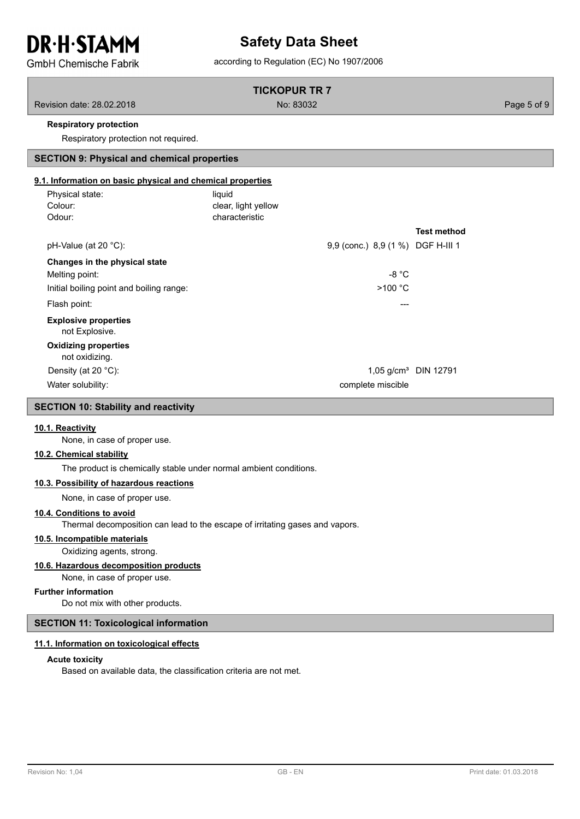### **Safety Data Sheet**

**GmbH Chemische Fabrik** 

#### according to Regulation (EC) No 1907/2006

#### **TICKOPUR TR 7**

Revision date: 28.02.2018 No: 83032 Page 5 of 9

#### **Respiratory protection**

Respiratory protection not required.

## **SECTION 9: Physical and chemical properties**

#### **9.1. Information on basic physical and chemical properties**

| Physical state:<br>Colour:<br>Odour:          | liquid<br>clear, light yellow<br>characteristic |                                   |                    |
|-----------------------------------------------|-------------------------------------------------|-----------------------------------|--------------------|
|                                               |                                                 |                                   | <b>Test method</b> |
| pH-Value (at 20 $^{\circ}$ C):                |                                                 | 9,9 (conc.) 8,9 (1 %) DGF H-III 1 |                    |
| Changes in the physical state                 |                                                 |                                   |                    |
| Melting point:                                |                                                 | $-8 °C$                           |                    |
| Initial boiling point and boiling range:      |                                                 | >100 °C                           |                    |
| Flash point:                                  |                                                 | ---                               |                    |
| <b>Explosive properties</b><br>not Explosive. |                                                 |                                   |                    |
| <b>Oxidizing properties</b><br>not oxidizing. |                                                 |                                   |                    |
| Density (at 20 $^{\circ}$ C):                 |                                                 | 1,05 g/cm <sup>3</sup> DIN 12791  |                    |
| Water solubility:                             |                                                 | complete miscible                 |                    |

#### **SECTION 10: Stability and reactivity**

#### **10.1. Reactivity**

None, in case of proper use.

#### **10.2. Chemical stability**

The product is chemically stable under normal ambient conditions.

#### **10.3. Possibility of hazardous reactions**

None, in case of proper use.

#### **10.4. Conditions to avoid**

Thermal decomposition can lead to the escape of irritating gases and vapors.

#### **10.5. Incompatible materials**

Oxidizing agents, strong.

#### **10.6. Hazardous decomposition products**

None, in case of proper use.

#### **Further information**

Do not mix with other products.

#### **SECTION 11: Toxicological information**

#### **11.1. Information on toxicological effects**

#### **Acute toxicity**

Based on available data, the classification criteria are not met.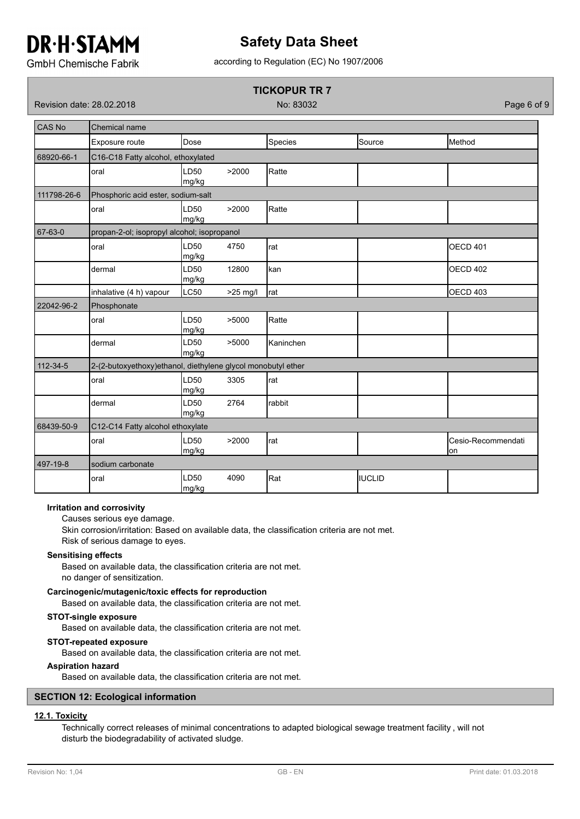### **Safety Data Sheet**

according to Regulation (EC) No 1907/2006

**GmbH Chemische Fabrik** 

### **TICKOPUR TR 7**

Revision date: 28.02.2018 No: 83032 Page 6 of 9

| <b>CAS No</b> | Chemical name                                                |                           |            |           |               |                           |  |  |
|---------------|--------------------------------------------------------------|---------------------------|------------|-----------|---------------|---------------------------|--|--|
|               | Exposure route                                               | Dose                      |            | Species   | Source        | Method                    |  |  |
| 68920-66-1    | C16-C18 Fatty alcohol, ethoxylated                           |                           |            |           |               |                           |  |  |
|               | oral                                                         | LD <sub>50</sub><br>mg/kg | >2000      | Ratte     |               |                           |  |  |
| 111798-26-6   | Phosphoric acid ester, sodium-salt                           |                           |            |           |               |                           |  |  |
|               | oral                                                         | LD <sub>50</sub><br>mg/kg | >2000      | Ratte     |               |                           |  |  |
| 67-63-0       | propan-2-ol; isopropyl alcohol; isopropanol                  |                           |            |           |               |                           |  |  |
|               | oral                                                         | LD <sub>50</sub><br>mg/kg | 4750       | rat       |               | <b>OECD 401</b>           |  |  |
|               | dermal                                                       | LD <sub>50</sub><br>mg/kg | 12800      | kan       |               | <b>OECD 402</b>           |  |  |
|               | inhalative (4 h) vapour                                      | LC50                      | $>25$ mg/l | rat       |               | <b>OECD 403</b>           |  |  |
| 22042-96-2    | Phosphonate                                                  |                           |            |           |               |                           |  |  |
|               | oral                                                         | LD <sub>50</sub><br>mg/kg | >5000      | Ratte     |               |                           |  |  |
|               | dermal                                                       | LD <sub>50</sub><br>mg/kg | >5000      | Kaninchen |               |                           |  |  |
| 112-34-5      | 2-(2-butoxyethoxy)ethanol, diethylene glycol monobutyl ether |                           |            |           |               |                           |  |  |
|               | oral                                                         | LD <sub>50</sub><br>mg/kg | 3305       | rat       |               |                           |  |  |
|               | dermal                                                       | LD <sub>50</sub><br>mg/kg | 2764       | rabbit    |               |                           |  |  |
| 68439-50-9    | C12-C14 Fatty alcohol ethoxylate                             |                           |            |           |               |                           |  |  |
|               | oral                                                         | LD <sub>50</sub><br>mg/kg | >2000      | rat       |               | Cesio-Recommendati<br>lon |  |  |
| 497-19-8      | sodium carbonate                                             |                           |            |           |               |                           |  |  |
|               | oral                                                         | LD50<br>mg/kg             | 4090       | Rat       | <b>IUCLID</b> |                           |  |  |

#### **Irritation and corrosivity**

Causes serious eye damage.

Skin corrosion/irritation: Based on available data, the classification criteria are not met. Risk of serious damage to eyes.

#### **Sensitising effects**

Based on available data, the classification criteria are not met. no danger of sensitization.

#### **Carcinogenic/mutagenic/toxic effects for reproduction**

Based on available data, the classification criteria are not met.

#### **STOT-single exposure**

Based on available data, the classification criteria are not met.

#### **STOT-repeated exposure**

Based on available data, the classification criteria are not met.

#### **Aspiration hazard**

Based on available data, the classification criteria are not met.

#### **SECTION 12: Ecological information**

#### **12.1. Toxicity**

Technically correct releases of minimal concentrations to adapted biological sewage treatment facility , will not disturb the biodegradability of activated sludge.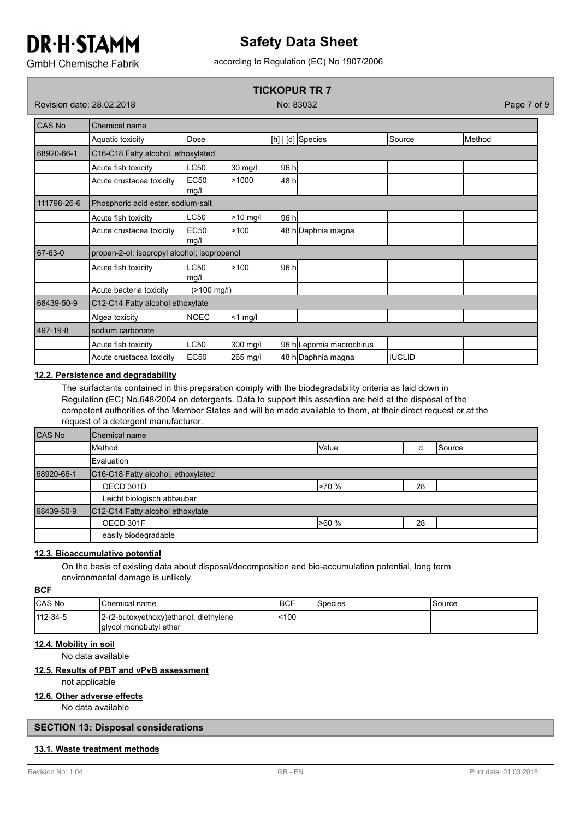### **Safety Data Sheet**

according to Regulation (EC) No 1907/2006

**GmbH Chemische Fabrik** 

#### **TICKOPUR TR 7**

Revision date: 28.02.2018 No: 83032 Page 7 of 9

| CAS No<br>Chemical name |                                             |                     |            |       |                          |         |        |  |  |
|-------------------------|---------------------------------------------|---------------------|------------|-------|--------------------------|---------|--------|--|--|
|                         | Aquatic toxicity                            | Dose                |            |       | $[h]   [d]$ Species      | Source  | Method |  |  |
| 68920-66-1              | C16-C18 Fatty alcohol, ethoxylated          |                     |            |       |                          |         |        |  |  |
|                         | Acute fish toxicity                         | <b>LC50</b>         | 30 mg/l    | 96 h  |                          |         |        |  |  |
|                         | Acute crustacea toxicity                    | <b>EC50</b><br>mg/l | >1000      | 48 h  |                          |         |        |  |  |
| 111798-26-6             | Phosphoric acid ester, sodium-salt          |                     |            |       |                          |         |        |  |  |
|                         | Acute fish toxicity                         | <b>LC50</b>         | $>10$ mg/l | 96 hl |                          |         |        |  |  |
|                         | Acute crustacea toxicity                    | <b>EC50</b><br>mg/l | >100       |       | 48 h Daphnia magna       |         |        |  |  |
| 67-63-0                 | propan-2-ol; isopropyl alcohol; isopropanol |                     |            |       |                          |         |        |  |  |
|                         | Acute fish toxicity                         | <b>LC50</b><br>mg/l | >100       | 96 hl |                          |         |        |  |  |
|                         | Acute bacteria toxicity                     | $($ >100 mg/l)      |            |       |                          |         |        |  |  |
| 68439-50-9              | C12-C14 Fatty alcohol ethoxylate            |                     |            |       |                          |         |        |  |  |
|                         | Algea toxicity                              | NOEC                | $<$ 1 mg/l |       |                          |         |        |  |  |
| 497-19-8                | sodium carbonate                            |                     |            |       |                          |         |        |  |  |
|                         | Acute fish toxicity                         | <b>LC50</b>         | $300$ mg/l |       | 96 h Lepomis macrochirus |         |        |  |  |
|                         | Acute crustacea toxicity                    | <b>EC50</b>         | 265 mg/l   |       | 48 h Daphnia magna       | IIUCLID |        |  |  |

#### **12.2. Persistence and degradability**

The surfactants contained in this preparation comply with the biodegradability criteria as laid down in Regulation (EC) No.648/2004 on detergents. Data to support this assertion are held at the disposal of the competent authorities of the Member States and will be made available to them, at their direct request or at the request of a detergent manufacturer.

| <b>CAS No</b> | Chemical name                                               |       |    |                 |
|---------------|-------------------------------------------------------------|-------|----|-----------------|
|               | <b>Method</b>                                               | Value |    | <b>I</b> Source |
|               | Evaluation                                                  |       |    |                 |
| 68920-66-1    | C <sub>16</sub> -C <sub>18</sub> Fatty alcohol, ethoxylated |       |    |                 |
|               | OECD 301D                                                   | >70 % | 28 |                 |
|               | Leicht biologisch abbaubar                                  |       |    |                 |
| 68439-50-9    | C12-C14 Fatty alcohol ethoxylate                            |       |    |                 |
|               | OECD 301F                                                   | >60%  | 28 |                 |
|               | easily biodegradable                                        |       |    |                 |

#### **12.3. Bioaccumulative potential**

On the basis of existing data about disposal/decomposition and bio-accumulation potential, long term environmental damage is unlikely.

#### **BCF**

| <b>CAS No</b>  | <b>IChemical name</b>                                            | BCF  | ISpecies | Source |
|----------------|------------------------------------------------------------------|------|----------|--------|
| $112 - 34 - 5$ | 2-(2-butoxyethoxy) ethanol, diethylene<br>glycol monobutyl ether | 100> |          |        |

#### **12.4. Mobility in soil**

No data available

#### **12.5. Results of PBT and vPvB assessment**

not applicable

#### **12.6. Other adverse effects**

No data available

#### **SECTION 13: Disposal considerations**

#### **13.1. Waste treatment methods**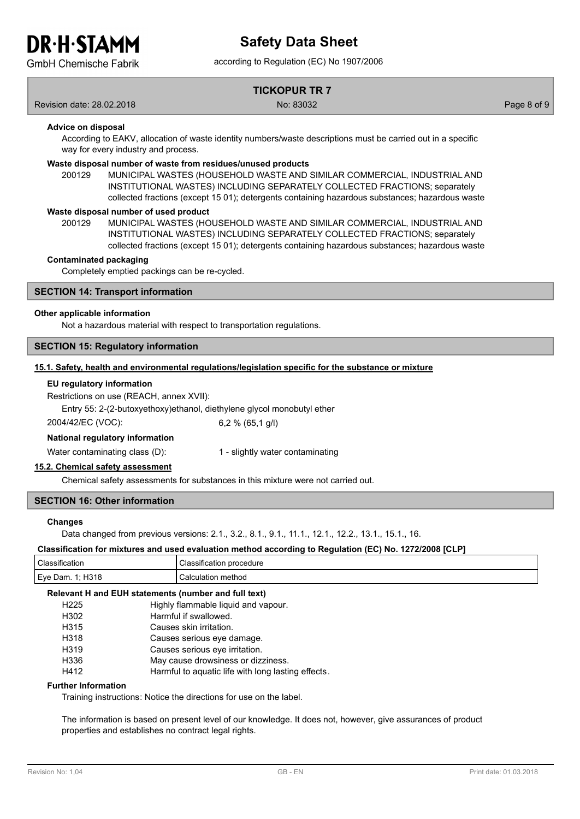### according to Regulation (EC) No 1907/2006 **Safety Data Sheet**

**GmbH Chemische Fabrik** 

### **TICKOPUR TR 7**

Revision date: 28.02.2018 No: 83032 Page 8 of 9

#### **Advice on disposal**

According to EAKV, allocation of waste identity numbers/waste descriptions must be carried out in a specific way for every industry and process.

#### **Waste disposal number of waste from residues/unused products**

200129 MUNICIPAL WASTES (HOUSEHOLD WASTE AND SIMILAR COMMERCIAL, INDUSTRIAL AND INSTITUTIONAL WASTES) INCLUDING SEPARATELY COLLECTED FRACTIONS; separately collected fractions (except 15 01); detergents containing hazardous substances; hazardous waste

#### **Waste disposal number of used product**

MUNICIPAL WASTES (HOUSEHOLD WASTE AND SIMILAR COMMERCIAL, INDUSTRIAL AND INSTITUTIONAL WASTES) INCLUDING SEPARATELY COLLECTED FRACTIONS; separately collected fractions (except 15 01); detergents containing hazardous substances; hazardous waste 200129

#### **Contaminated packaging**

Completely emptied packings can be re-cycled.

#### **SECTION 14: Transport information**

#### **Other applicable information**

Not a hazardous material with respect to transportation regulations.

#### **SECTION 15: Regulatory information**

#### **15.1. Safety, health and environmental regulations/legislation specific for the substance or mixture**

#### **EU regulatory information**

Restrictions on use (REACH, annex XVII):

Entry 55: 2-(2-butoxyethoxy)ethanol, diethylene glycol monobutyl ether

2004/42/EC (VOC): 6,2 % (65,1 g/l)

#### **National regulatory information**

Water contaminating class (D): 1 - slightly water contaminating

#### **15.2. Chemical safety assessment**

Chemical safety assessments for substances in this mixture were not carried out.

#### **SECTION 16: Other information**

#### **Changes**

Data changed from previous versions: 2.1., 3.2., 8.1., 9.1., 11.1., 12.1., 12.2., 13.1., 15.1., 16.

#### **Classification for mixtures and used evaluation method according to Regulation (EC) No. 1272/2008 [CLP]**

| Classifica<br>atio.         | cedure<br>mor<br>auor<br>sıtı |
|-----------------------------|-------------------------------|
| Eye<br>H31c<br>)am<br>טו שו | ∶al∩<br>iethoc<br>ша          |
|                             |                               |

#### **Relevant H and EUH statements (number and full text)**

| H <sub>225</sub> | Highly flammable liquid and vapour.                |
|------------------|----------------------------------------------------|
| H302             | Harmful if swallowed.                              |
| H315             | Causes skin irritation.                            |
| H318             | Causes serious eye damage.                         |
| H319             | Causes serious eve irritation.                     |
| H336             | May cause drowsiness or dizziness.                 |
| H412             | Harmful to aguatic life with long lasting effects. |

#### **Further Information**

Training instructions: Notice the directions for use on the label.

The information is based on present level of our knowledge. It does not, however, give assurances of product properties and establishes no contract legal rights.